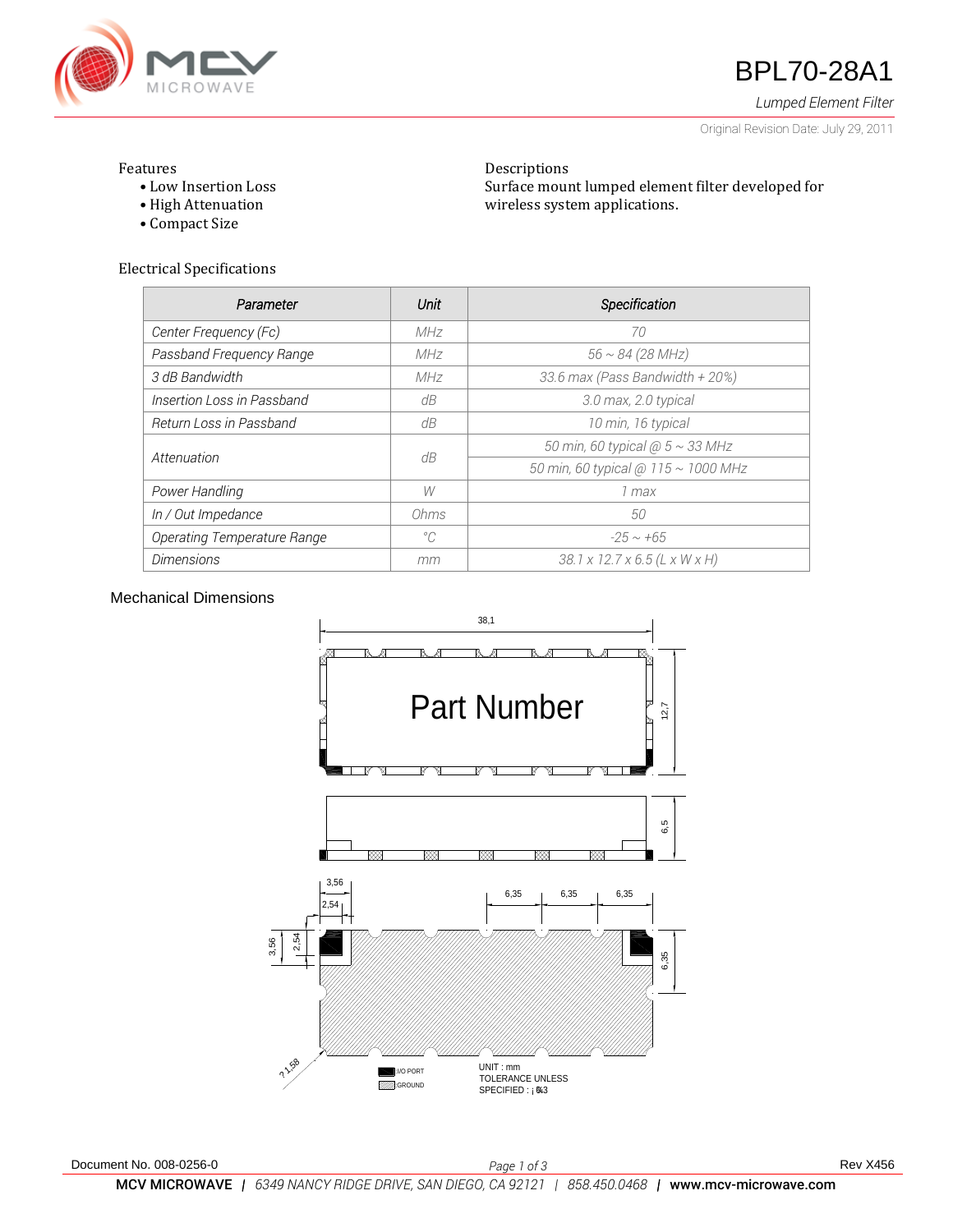

# **47** BPL70-28A1

*Lumped Element Filter*

Original Revision Date: July 29, 2011

### Features

- Low Insertion Loss
- High Attenuation
- Compact Size

Electrical Specifications

| Parameter                          | Unit        | Specification                       |
|------------------------------------|-------------|-------------------------------------|
| Center Frequency (Fc)              | MHz         | 70                                  |
| Passband Frequency Range           | MHz         | $56 \sim 84 (28 MHz)$               |
| 3 dB Bandwidth                     | MHz         | 33.6 max (Pass Bandwidth + 20%)     |
| Insertion Loss in Passband         | dB          | 3.0 max, 2.0 typical                |
| Return Loss in Passband            | dB          | 10 min, 16 typical                  |
| Attenuation                        | dB          | 50 min, 60 typical $@5 \sim 33$ MHz |
|                                    |             | 50 min, 60 typical @ 115 ~ 1000 MHz |
| Power Handling                     | W           | 1 max                               |
| In / Out Impedance                 | Ohms        | 50                                  |
| <b>Operating Temperature Range</b> | $^{\circ}C$ | $-25 \sim +65$                      |
| <b>Dimensions</b>                  | mm          | 38.1 x 12.7 x 6.5 (L x W x H)       |

Descriptions

wireless system applications.

Surface mount lumped element filter developed for

## Mechanical Dimensions

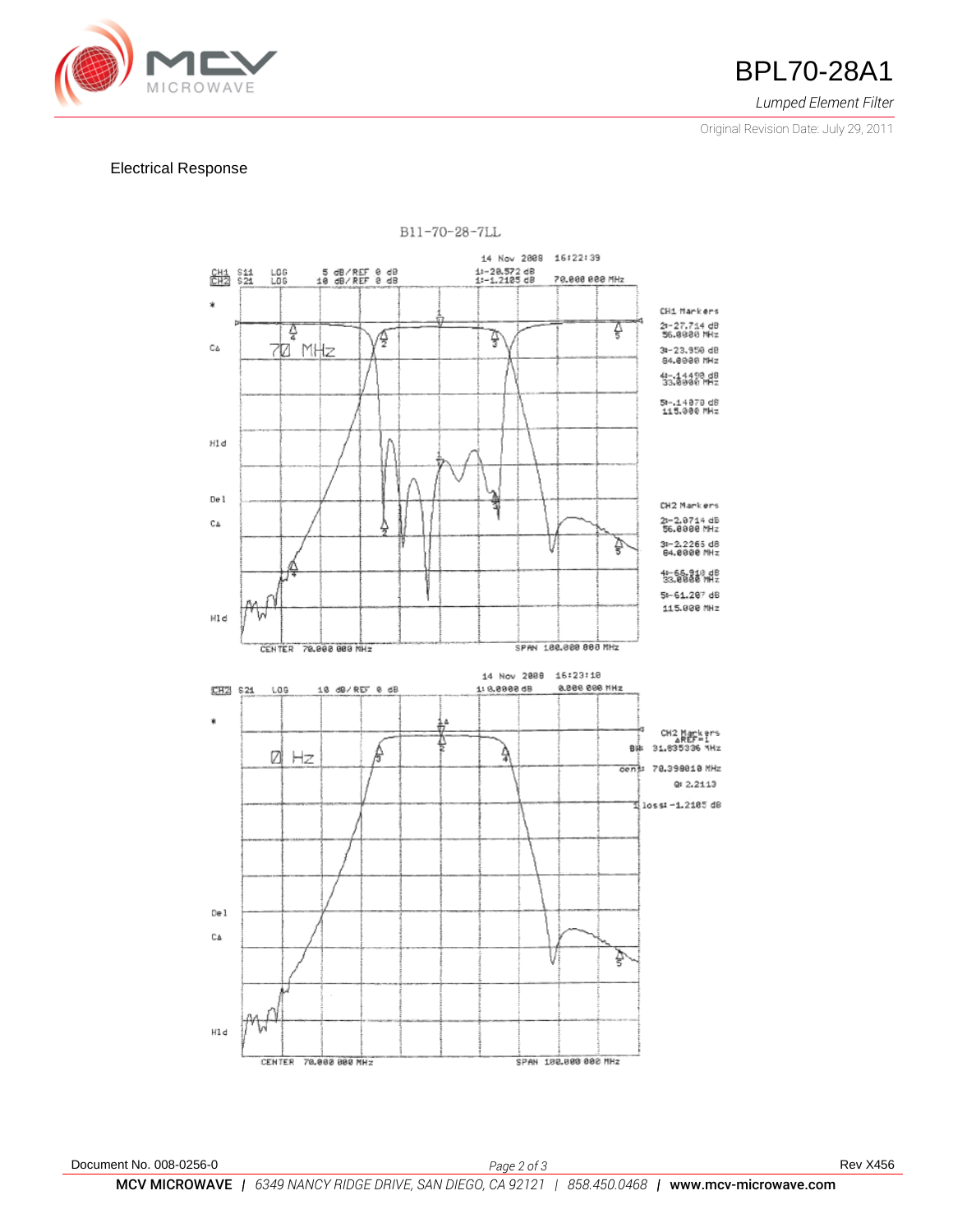

### *Lumped Element Filter*

Original Revision Date: July 29, 2011

### Electrical Response



B11-70-28-7LL